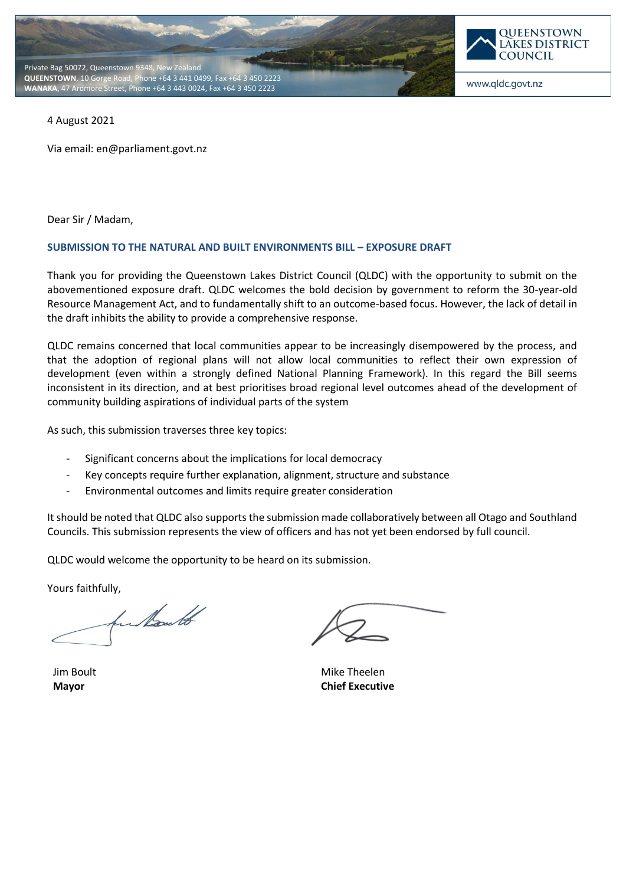



4 August 2021

Via email: en@parliament.govt.nz

Dear Sir / Madam,

#### **SUBMISSION TO THE NATURAL AND BUILT ENVIRONMENTS BILL – EXPOSURE DRAFT**

Thank you for providing the Queenstown Lakes District Council (QLDC) with the opportunity to submit on the abovementioned exposure draft. QLDC welcomes the bold decision by government to reform the 30-year-old Resource Management Act, and to fundamentally shift to an outcome-based focus. However, the lack of detail in the draft inhibits the ability to provide a comprehensive response.

QLDC remains concerned that local communities appear to be increasingly disempowered by the process, and that the adoption of regional plans will not allow local communities to reflect their own expression of development (even within a strongly defined National Planning Framework). In this regard the Bill seems inconsistent in its direction, and at best prioritises broad regional level outcomes ahead of the development of community building aspirations of individual parts of the system

As such, this submission traverses three key topics:

- Significant concerns about the implications for local democracy
- Key concepts require further explanation, alignment, structure and substance
- Environmental outcomes and limits require greater consideration

It should be noted that QLDC also supports the submission made collaboratively between all Otago and Southland Councils. This submission represents the view of officers and has not yet been endorsed by full council.

QLDC would welcome the opportunity to be heard on its submission.

Yours faithfully,

for hourles

Jim Boult **Mayor**

Mike Theelen **Chief Executive**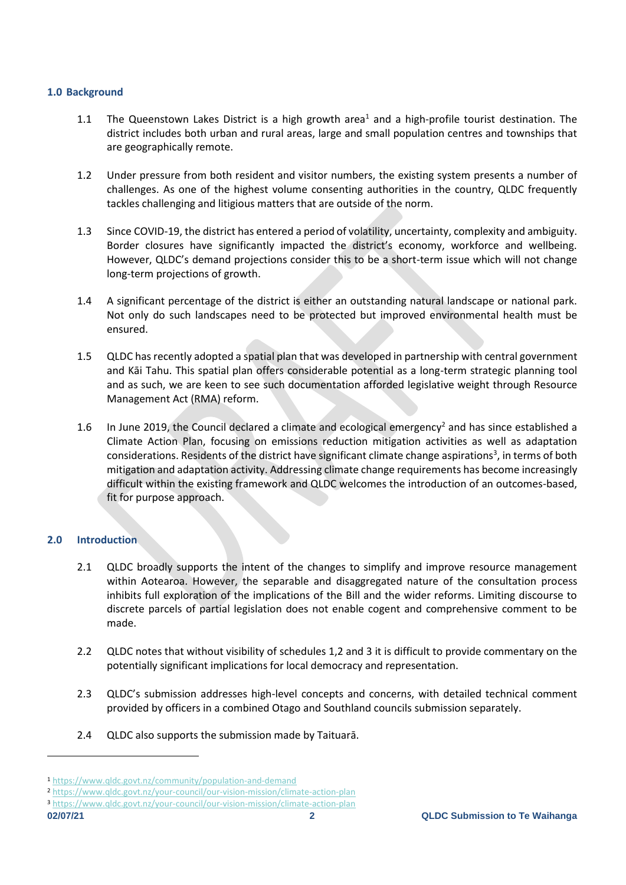## **1.0 Background**

- 1.1 The Queenstown Lakes District is a high growth area<sup>1</sup> and a high-profile tourist destination. The district includes both urban and rural areas, large and small population centres and townships that are geographically remote.
- 1.2 Under pressure from both resident and visitor numbers, the existing system presents a number of challenges. As one of the highest volume consenting authorities in the country, QLDC frequently tackles challenging and litigious matters that are outside of the norm.
- 1.3 Since COVID-19, the district has entered a period of volatility, uncertainty, complexity and ambiguity. Border closures have significantly impacted the district's economy, workforce and wellbeing. However, QLDC's demand projections consider this to be a short-term issue which will not change long-term projections of growth.
- 1.4 A significant percentage of the district is either an outstanding natural landscape or national park. Not only do such landscapes need to be protected but improved environmental health must be ensured.
- 1.5 QLDC has recently adopted a spatial plan that was developed in partnership with central government and Kāi Tahu. This spatial plan offers considerable potential as a long-term strategic planning tool and as such, we are keen to see such documentation afforded legislative weight through Resource Management Act (RMA) reform.
- 1.6 In June 2019, the Council declared a climate and ecological emergency<sup>2</sup> and has since established a Climate Action Plan, focusing on emissions reduction mitigation activities as well as adaptation considerations. Residents of the district have significant climate change aspirations<sup>3</sup>, in terms of both mitigation and adaptation activity. Addressing climate change requirements has become increasingly difficult within the existing framework and QLDC welcomes the introduction of an outcomes-based, fit for purpose approach.

# **2.0 Introduction**

- 2.1 QLDC broadly supports the intent of the changes to simplify and improve resource management within Aotearoa. However, the separable and disaggregated nature of the consultation process inhibits full exploration of the implications of the Bill and the wider reforms. Limiting discourse to discrete parcels of partial legislation does not enable cogent and comprehensive comment to be made.
- 2.2 QLDC notes that without visibility of schedules 1,2 and 3 it is difficult to provide commentary on the potentially significant implications for local democracy and representation.
- 2.3 QLDC's submission addresses high-level concepts and concerns, with detailed technical comment provided by officers in a combined Otago and Southland councils submission separately.
- 2.4 QLDC also supports the submission made by Taituarā.

<sup>1</sup> <https://www.qldc.govt.nz/community/population-and-demand>

<sup>2</sup> <https://www.qldc.govt.nz/your-council/our-vision-mission/climate-action-plan>

<sup>3</sup> <https://www.qldc.govt.nz/your-council/our-vision-mission/climate-action-plan>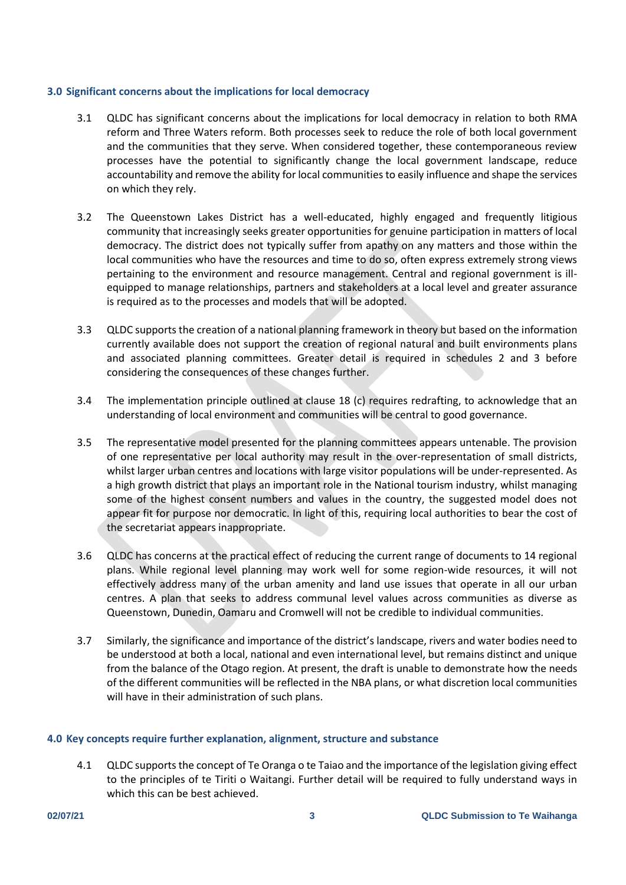### **3.0 Significant concerns about the implications for local democracy**

- 3.1 QLDC has significant concerns about the implications for local democracy in relation to both RMA reform and Three Waters reform. Both processes seek to reduce the role of both local government and the communities that they serve. When considered together, these contemporaneous review processes have the potential to significantly change the local government landscape, reduce accountability and remove the ability for local communities to easily influence and shape the services on which they rely.
- 3.2 The Queenstown Lakes District has a well-educated, highly engaged and frequently litigious community that increasingly seeks greater opportunities for genuine participation in matters of local democracy. The district does not typically suffer from apathy on any matters and those within the local communities who have the resources and time to do so, often express extremely strong views pertaining to the environment and resource management. Central and regional government is illequipped to manage relationships, partners and stakeholders at a local level and greater assurance is required as to the processes and models that will be adopted.
- 3.3 QLDC supports the creation of a national planning framework in theory but based on the information currently available does not support the creation of regional natural and built environments plans and associated planning committees. Greater detail is required in schedules 2 and 3 before considering the consequences of these changes further.
- 3.4 The implementation principle outlined at clause 18 (c) requires redrafting, to acknowledge that an understanding of local environment and communities will be central to good governance.
- 3.5 The representative model presented for the planning committees appears untenable. The provision of one representative per local authority may result in the over-representation of small districts, whilst larger urban centres and locations with large visitor populations will be under-represented. As a high growth district that plays an important role in the National tourism industry, whilst managing some of the highest consent numbers and values in the country, the suggested model does not appear fit for purpose nor democratic. In light of this, requiring local authorities to bear the cost of the secretariat appears inappropriate.
- 3.6 QLDC has concerns at the practical effect of reducing the current range of documents to 14 regional plans. While regional level planning may work well for some region-wide resources, it will not effectively address many of the urban amenity and land use issues that operate in all our urban centres. A plan that seeks to address communal level values across communities as diverse as Queenstown, Dunedin, Oamaru and Cromwell will not be credible to individual communities.
- 3.7 Similarly, the significance and importance of the district's landscape, rivers and water bodies need to be understood at both a local, national and even international level, but remains distinct and unique from the balance of the Otago region. At present, the draft is unable to demonstrate how the needs of the different communities will be reflected in the NBA plans, or what discretion local communities will have in their administration of such plans.

#### **4.0 Key concepts require further explanation, alignment, structure and substance**

4.1 QLDC supports the concept of Te Oranga o te Taiao and the importance of the legislation giving effect to the principles of te Tiriti o Waitangi. Further detail will be required to fully understand ways in which this can be best achieved.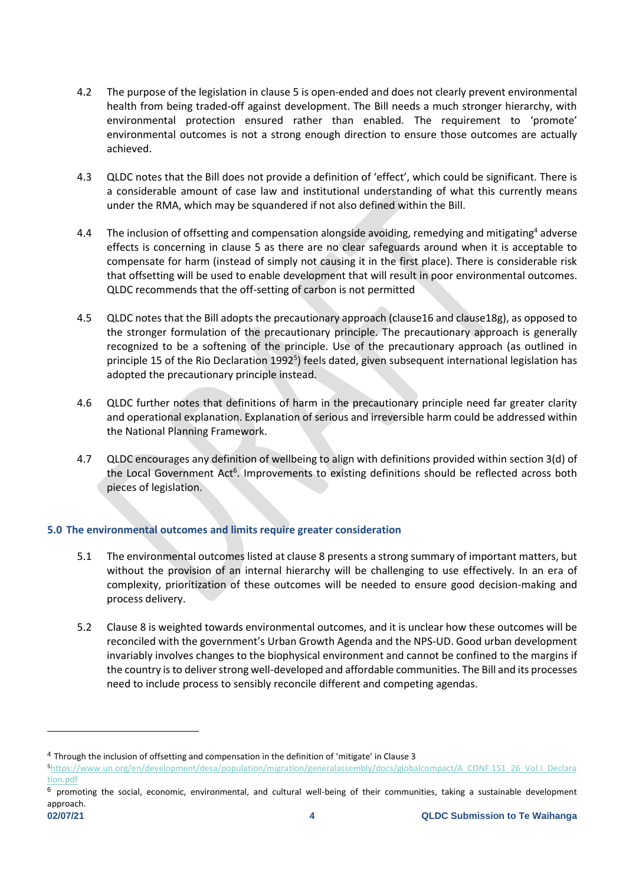- 4.2 The purpose of the legislation in clause 5 is open-ended and does not clearly prevent environmental health from being traded-off against development. The Bill needs a much stronger hierarchy, with environmental protection ensured rather than enabled. The requirement to 'promote' environmental outcomes is not a strong enough direction to ensure those outcomes are actually achieved.
- 4.3 QLDC notes that the Bill does not provide a definition of 'effect', which could be significant. There is a considerable amount of case law and institutional understanding of what this currently means under the RMA, which may be squandered if not also defined within the Bill.
- 4.4 The inclusion of offsetting and compensation alongside avoiding, remedying and mitigating<sup>4</sup> adverse effects is concerning in clause 5 as there are no clear safeguards around when it is acceptable to compensate for harm (instead of simply not causing it in the first place). There is considerable risk that offsetting will be used to enable development that will result in poor environmental outcomes. QLDC recommends that the off-setting of carbon is not permitted
- 4.5 QLDC notes that the Bill adopts the precautionary approach (clause16 and clause18g), as opposed to the stronger formulation of the precautionary principle. The precautionary approach is generally recognized to be a softening of the principle. Use of the precautionary approach (as outlined in principle 15 of the Rio Declaration 1992<sup>5</sup>) feels dated, given subsequent international legislation has adopted the precautionary principle instead.
- 4.6 QLDC further notes that definitions of harm in the precautionary principle need far greater clarity and operational explanation. Explanation of serious and irreversible harm could be addressed within the National Planning Framework.
- 4.7 QLDC encourages any definition of wellbeing to align with definitions provided within section 3(d) of the Local Government Act<sup>6</sup>. Improvements to existing definitions should be reflected across both pieces of legislation.

# **5.0 The environmental outcomes and limits require greater consideration**

- 5.1 The environmental outcomes listed at clause 8 presents a strong summary of important matters, but without the provision of an internal hierarchy will be challenging to use effectively. In an era of complexity, prioritization of these outcomes will be needed to ensure good decision-making and process delivery.
- 5.2 Clause 8 is weighted towards environmental outcomes, and it is unclear how these outcomes will be reconciled with the government's Urban Growth Agenda and the NPS-UD. Good urban development invariably involves changes to the biophysical environment and cannot be confined to the margins if the country is to deliver strong well-developed and affordable communities. The Bill and its processes need to include process to sensibly reconcile different and competing agendas.

<sup>4</sup> Through the inclusion of offsetting and compensation in the definition of 'mitigate' in Clause 3

<sup>5</sup>[https://www.un.org/en/development/desa/population/migration/generalassembly/docs/globalcompact/A\\_CONF.151\\_26\\_Vol.I\\_Declara](https://www.un.org/en/development/desa/population/migration/generalassembly/docs/globalcompact/A_CONF.151_26_Vol.I_Declaration.pdf) [tion.pdf](https://www.un.org/en/development/desa/population/migration/generalassembly/docs/globalcompact/A_CONF.151_26_Vol.I_Declaration.pdf)

 $6$  promoting the social, economic, environmental, and cultural well-being of their communities, taking a sustainable development approach.